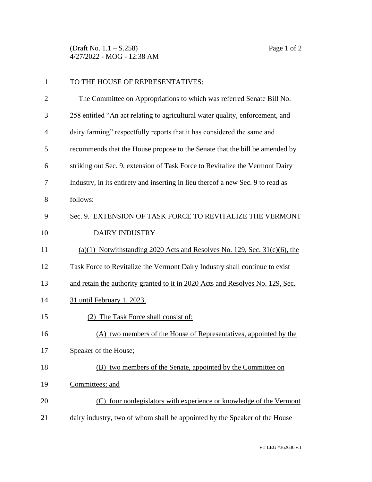(Draft No. 1.1 – S.258) Page 1 of 2 4/27/2022 - MOG - 12:38 AM

| $\mathbf{1}$   | TO THE HOUSE OF REPRESENTATIVES:                                                |
|----------------|---------------------------------------------------------------------------------|
| $\overline{2}$ | The Committee on Appropriations to which was referred Senate Bill No.           |
| 3              | 258 entitled "An act relating to agricultural water quality, enforcement, and   |
| 4              | dairy farming" respectfully reports that it has considered the same and         |
| 5              | recommends that the House propose to the Senate that the bill be amended by     |
| 6              | striking out Sec. 9, extension of Task Force to Revitalize the Vermont Dairy    |
| 7              | Industry, in its entirety and inserting in lieu thereof a new Sec. 9 to read as |
| 8              | follows:                                                                        |
| 9              | Sec. 9. EXTENSION OF TASK FORCE TO REVITALIZE THE VERMONT                       |
| 10             | <b>DAIRY INDUSTRY</b>                                                           |
| 11             | $(a)(1)$ Notwithstanding 2020 Acts and Resolves No. 129, Sec. 31(c)(6), the     |
| 12             | Task Force to Revitalize the Vermont Dairy Industry shall continue to exist     |
| 13             | and retain the authority granted to it in 2020 Acts and Resolves No. 129, Sec.  |
| 14             | 31 until February 1, 2023.                                                      |
| 15             | (2) The Task Force shall consist of:                                            |
| 16             | (A) two members of the House of Representatives, appointed by the               |
| 17             | Speaker of the House;                                                           |
| 18             | (B) two members of the Senate, appointed by the Committee on                    |
| 19             | Committees; and                                                                 |
| 20             | four nonlegislators with experience or knowledge of the Vermont<br>(C)          |
| 21             | dairy industry, two of whom shall be appointed by the Speaker of the House      |